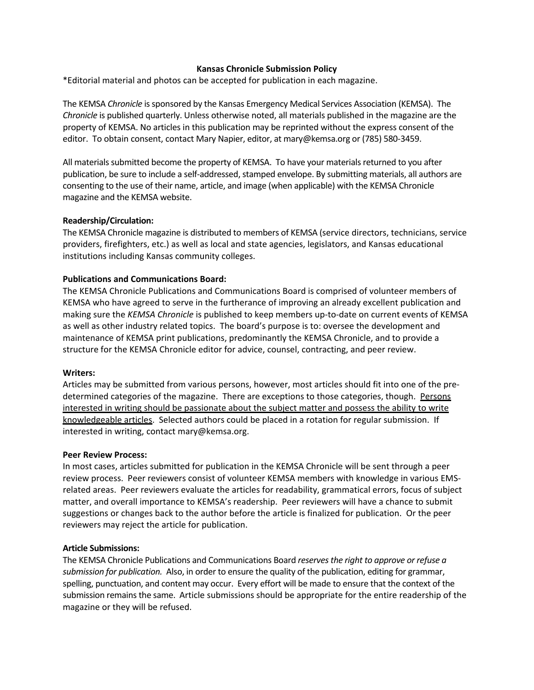# **Kansas Chronicle Submission Policy**

\*Editorial material and photos can be accepted for publication in each magazine.

The KEMSA *Chronicle* issponsored by the Kansas Emergency Medical Services Association (KEMSA). The *Chronicle* is published quarterly. Unless otherwise noted, all materials published in the magazine are the property of KEMSA. No articles in this publication may be reprinted without the express consent of the editor. To obtain consent, contact Mary Napier, editor, at mary@kemsa.org or (785) 580-3459.

All materials submitted become the property of KEMSA. To have your materials returned to you after publication, be sure to include a self-addressed, stamped envelope. By submitting materials, all authors are consenting to the use of their name, article, and image (when applicable) with the KEMSA Chronicle magazine and the KEMSA website.

# **Readership/Circulation:**

The KEMSA Chronicle magazine is distributed to members of KEMSA (service directors, technicians, service providers, firefighters, etc.) as well as local and state agencies, legislators, and Kansas educational institutions including Kansas community colleges.

# **Publications and Communications Board:**

The KEMSA Chronicle Publications and Communications Board is comprised of volunteer members of KEMSA who have agreed to serve in the furtherance of improving an already excellent publication and making sure the *KEMSA Chronicle* is published to keep members up‐to‐date on current events of KEMSA as well as other industry related topics. The board's purpose is to: oversee the development and maintenance of KEMSA print publications, predominantly the KEMSA Chronicle, and to provide a structure for the KEMSA Chronicle editor for advice, counsel, contracting, and peer review.

### **Writers:**

Articles may be submitted from various persons, however, most articles should fit into one of the pre‐ determined categories of the magazine. There are exceptions to those categories, though. Persons interested in writing should be passionate about the subject matter and possess the ability to write knowledgeable articles. Selected authors could be placed in a rotation for regular submission. If interested in writing, contact mary@kemsa.org.

### **Peer Review Process:**

In most cases, articles submitted for publication in the KEMSA Chronicle will be sent through a peer review process. Peer reviewers consist of volunteer KEMSA members with knowledge in various EMS‐ related areas. Peer reviewers evaluate the articles for readability, grammatical errors, focus of subject matter, and overall importance to KEMSA's readership. Peer reviewers will have a chance to submit suggestions or changes back to the author before the article is finalized for publication. Or the peer reviewers may reject the article for publication.

### **Article Submissions:**

The KEMSA Chronicle Publications and Communications Board *reservesthe right to approve or refuse a submission for publication.* Also, in order to ensure the quality of the publication, editing for grammar, spelling, punctuation, and content may occur. Every effort will be made to ensure that the context of the submission remainsthe same. Article submissions should be appropriate for the entire readership of the magazine or they will be refused.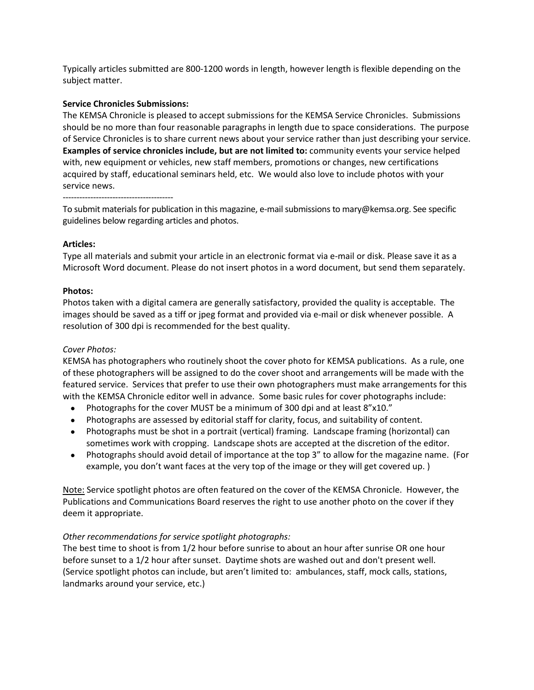Typically articles submitted are 800‐1200 words in length, however length is flexible depending on the subject matter.

# **Service Chronicles Submissions:**

The KEMSA Chronicle is pleased to accept submissions for the KEMSA Service Chronicles. Submissions should be no more than four reasonable paragraphs in length due to space considerations. The purpose of Service Chronicles is to share current news about your service rather than just describing your service. **Examples of service chronicles include, but are not limited to:** community events your service helped with, new equipment or vehicles, new staff members, promotions or changes, new certifications acquired by staff, educational seminars held, etc. We would also love to include photos with your service news.

‐‐‐‐‐‐‐‐‐‐‐‐‐‐‐‐‐‐‐‐‐‐‐‐‐‐‐‐‐‐‐‐‐‐‐‐‐‐‐‐

To submit materials for publication in this magazine, e-mail submissions to mary@kemsa.org. See specific guidelines below regarding articles and photos.

# **Articles:**

Type all materials and submit your article in an electronic format via e‐mail or disk. Please save it as a Microsoft Word document. Please do not insert photos in a word document, but send them separately.

# **Photos:**

Photos taken with a digital camera are generally satisfactory, provided the quality is acceptable. The images should be saved as a tiff or jpeg format and provided via e-mail or disk whenever possible. A resolution of 300 dpi is recommended for the best quality.

# *Cover Photos:*

KEMSA has photographers who routinely shoot the cover photo for KEMSA publications. As a rule, one of these photographers will be assigned to do the cover shoot and arrangements will be made with the featured service. Services that prefer to use their own photographers must make arrangements for this with the KEMSA Chronicle editor well in advance. Some basic rules for cover photographs include:

- Photographs for the cover MUST be a minimum of 300 dpi and at least 8"x10."
- Photographs are assessed by editorial staff for clarity, focus, and suitability of content.
- Photographs must be shot in a portrait (vertical) framing. Landscape framing (horizontal) can sometimes work with cropping. Landscape shots are accepted at the discretion of the editor.
- Photographs should avoid detail of importance at the top 3" to allow for the magazine name. (For example, you don't want faces at the very top of the image or they will get covered up. )

Note: Service spotlight photos are often featured on the cover of the KEMSA Chronicle. However, the Publications and Communications Board reserves the right to use another photo on the cover if they deem it appropriate.

# *Other recommendations for service spotlight photographs:*

The best time to shoot is from 1/2 hour before sunrise to about an hour after sunrise OR one hour before sunset to a 1/2 hour after sunset. Daytime shots are washed out and don't present well. (Service spotlight photos can include, but aren't limited to: ambulances, staff, mock calls, stations, landmarks around your service, etc.)